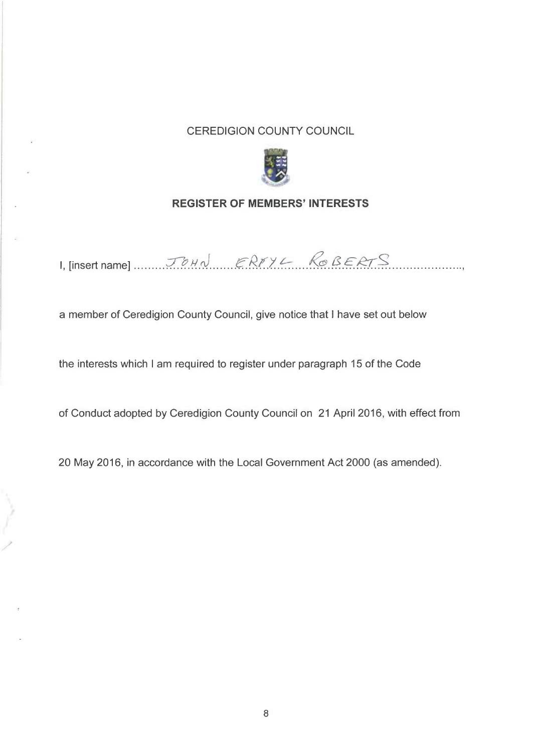## **CEREDIGION COUNTY COUNCIL**



## **REGISTER OF MEMBERS' INTERESTS**

I, [insert name]  $J \circ H \circ J$   $ERI YL$  Ro BERTS

a member of Ceredigion County Council, give notice that I have set out below

the interests which I am required to register under paragraph 15 of the Code

of Conduct adopted by Ceredigion County Council on 21 April 2016, with effect from

20 May 2016, in accordance with the Local Government Act 2000 (as amended).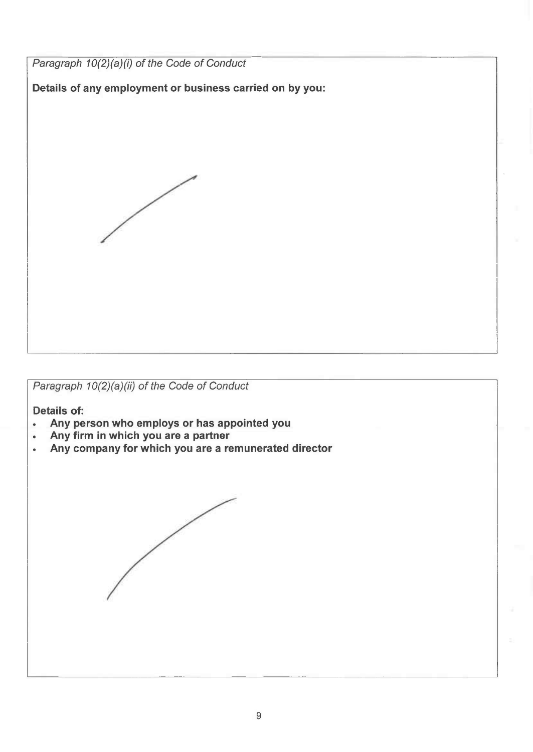*Paragraph*  $10(2)(a)(i)$  *of the Code of Conduct* 

**Details of any employment or business carried on by you:**



*Paragraph*  $10(2)(a)(ii)$  *of the Code of Conduct* 

**Details of:**

- **• Any person who employs or has appointed you**
- **• Any firm in which you are a partner**
- **• Any company for which you are a remunerated director**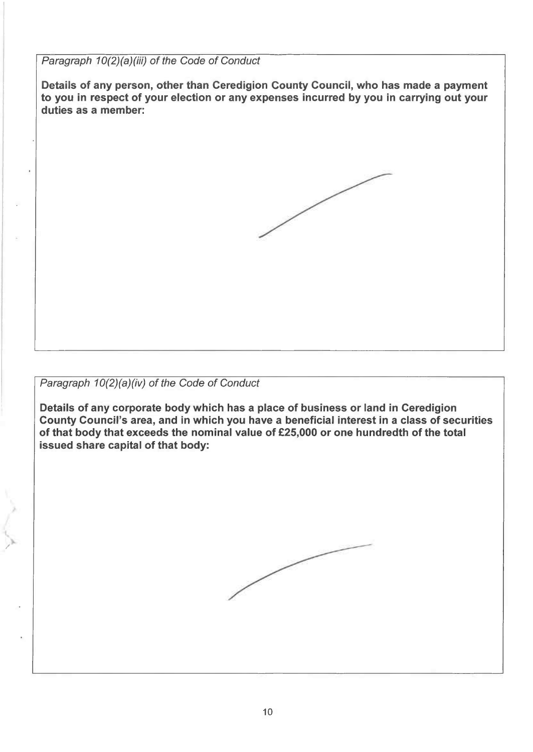*Paragraph*  $10(2)(a)(iii)$  *of the Code of Conduct* 

Details of any person, other than Ceredigion County Council, who has made <sup>a</sup> payment to you in respect of your election or any expenses incurred by you in carrying out your duties as <sup>a</sup> member:



*Paragraph*  $10(2)(a)(iv)$  *of the Code of Conduct* 

Details of any corporate body which has <sup>a</sup> place of business or land in Ceredigion County Council's area, and in which you have <sup>a</sup> beneficial interest in <sup>a</sup> class of securities of that body that exceeds the nominal value of £25,000 or one hundredth of the total issued share capital of that body:

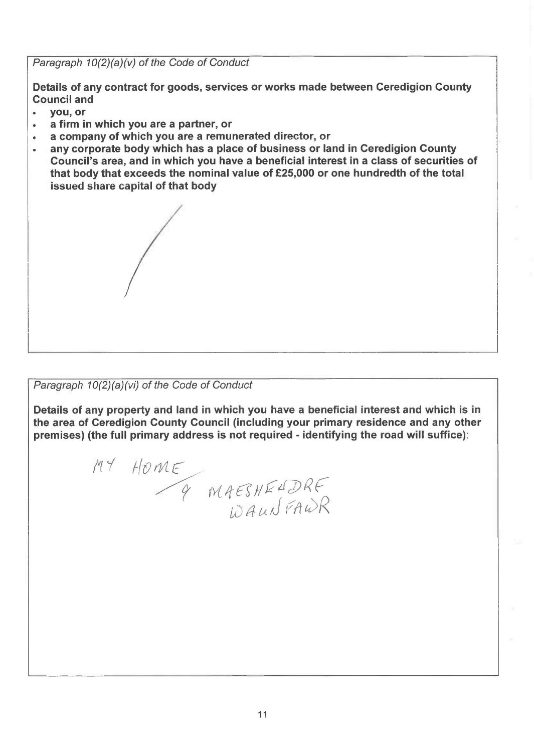*Paragraph*  $10(2)(a)(v)$  *of the Code of Conduct* 

Details of any contract for goods, services or works made between Ceredigion County Council and

- you,or
- <sup>a</sup> firm in which you are <sup>a</sup> partner, or
- <sup>a</sup> company of which you are <sup>a</sup> remunerated director, or
- any corporate body which has <sup>a</sup> place of business or land in Ceredigion County Council's area, and in which you have <sup>a</sup> beneficial interest in <sup>a</sup> class of securities of that body that exceeds the nominal value of £25,000 or one hundredth of the total issued share capital of that body

*Paragraph*  $10(2)(a)(vi)$  *of the Code of Conduct* 

*I*

Details of any property and land in which you have <sup>a</sup> beneficial interest and which is in the area of Ceredigion County Council (including your primary residence and any other premises) (the full primary address is not required - identifying the road will suffice):

MY HOME 9 MAESHELDRE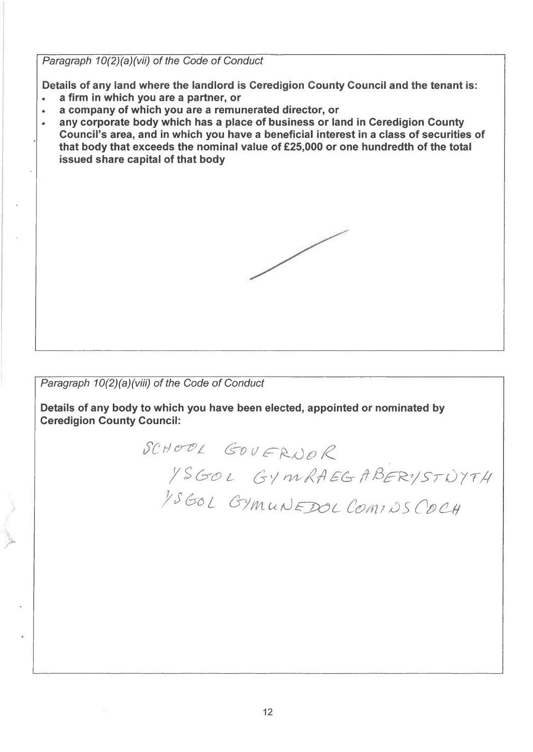Paragraph 10(2)(a)(vii) of the Code of Conduct

Details of any land where the landlord is Ceredigion County Council and the tenant is:

- a firm in which you are a partner, or  $\bullet$
- a company of which you are a remunerated director, or  $\bullet$
- any corporate body which has a place of business or land in Ceredigion County Council's area, and in which you have a beneficial interest in a class of securities of that body that exceeds the nominal value of £25,000 or one hundredth of the total issued share capital of that body

Paragraph 10(2)(a)(viii) of the Code of Conduct

Details of any body to which you have been elected, appointed or nominated by **Ceredigion County Council:** 

> SCHOOL GOVERNOR YSGOL GYMRAEGABERYSTNYTH 1560L GYMUNEDOL COMINSCOCH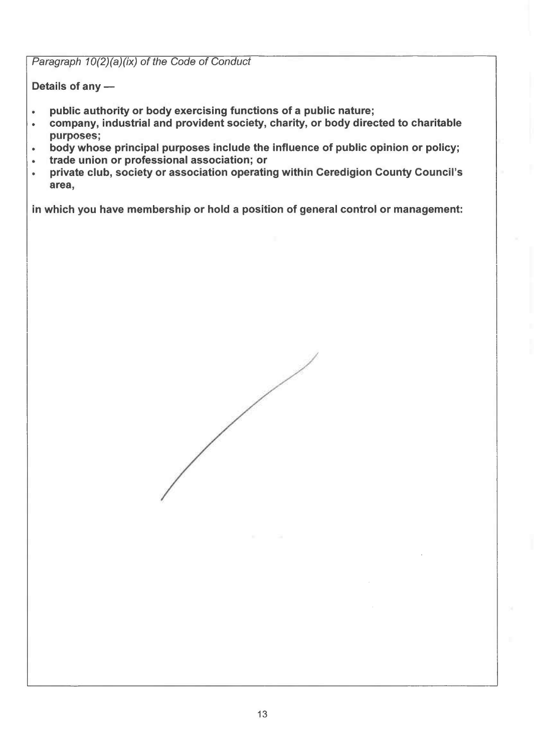*Paragraph*  $10(2)(a)(ix)$  *of the Code of Conduct* 

Details of any $-$ 

- public authority or body exercising functions of <sup>a</sup> public nature;
- company, industrial and provident society, charity, or body directed to charitable purposes;
- body whose principal purposes include the influence of public opinion or policy;
- trade union or professional association; or
- private club, society or association operating within Ceredigion County Council's **area,**

in which you have membership or hold <sup>a</sup> position of general control or management: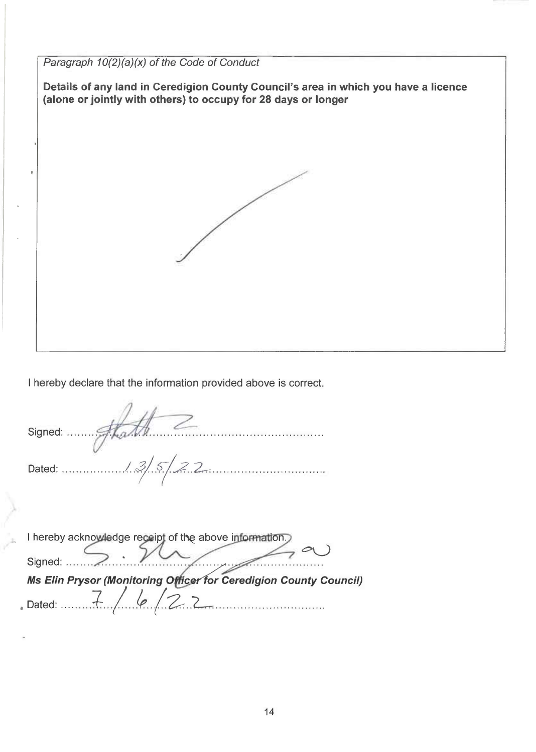*Paragraph*  $10(2)(a)(x)$  *of the Code of Conduct* **Details of any land in Ceredigion County Council's area in which you have a licence {alone orjointly with others) to occupy for 28 days or longer**

<sup>I</sup> hereby declare that the information provided above is correct.

Signed:......... . . Dated: Lf..J.7...L . I hereby acknowledge receipt of the above information. *Ms Elin Prysor (Monitoring* **<sup>O</sup>** *icerfor Ceredigion County Council)* , Dated:  $\frac{7}{4}$ , le /2.2